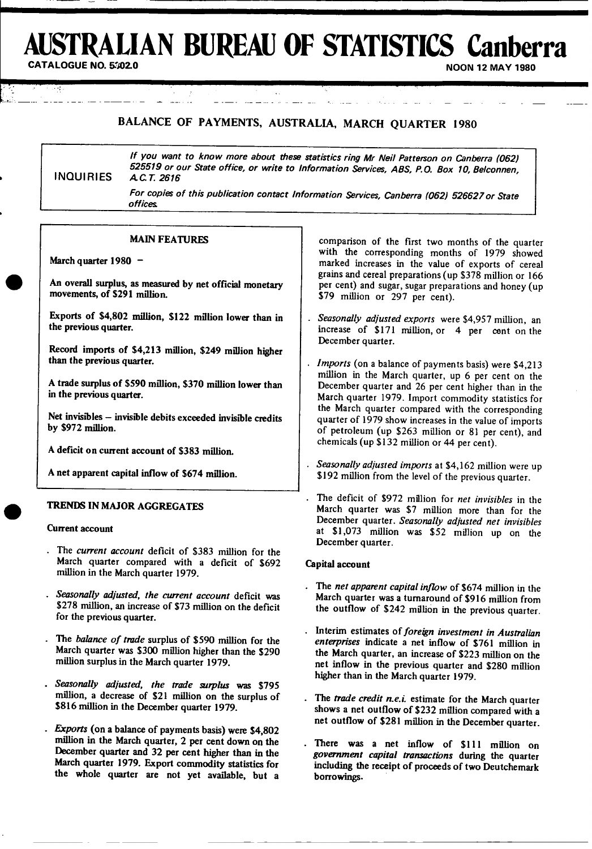# **USTRALIAN BUREAU OF STATISTICS Canberra**

**NOON 12 MAY 1980** 

# BALANCE OF PAYMENTS, AUSTRALIA, MARCH QUARTER 1980

**If you want to know more about these statistics ring Mr Neil Patterson on Canberra** *(062) <sup>525519</sup>***or our State office, or write to Information Services, ABS, P.O. Box 10, Belconnen,** INQUIRIES ACT *<sup>2616</sup>*

For copies of this publication contact Information Services, Canberra *(062)* 526627 *or* State offices

#### **MAIN** FEATURES

**I-** I **o .**

**March quarter 1980 -**

**An overall surplus, as measured by net official monetary movements, of \$291 million.**

**Exports of \$4,802 million, \$122 million lower than in the previous quarter.**

**Record imports of \$4,213 million, \$249 million higher than the previous quarter.**

**A trade surplus of \$590 million, \$370 million lower than in the previous quarter.**

**Net invisibles** - **invisible debits exceeded invisible credits by \$972 million.**

A deficit **on current account of \$383 million.**

**A net apparent capital inflow of \$674 million.**

#### **TRENDS IN MAJOR** AGGREGATES

#### Current **account**

- The *current account* deficit of \$383 million for the **March quarter** compared with a deficit of \$692 million **in the March** quarter 1979.
- . *Seasonally adjusted, the current* **account** deficit was \$278 million, an increase of \$73 **million** on the deficit for the **previous quarter.**
- The *balance of trade* surplus **of \$590 million for** the **March quarter** was \$300 million higher than the \$290 **million surplus** in the March quarter 1979.
- *Seasonally adjusted, the trade surplus* **was \$795** million, **a decrease** of \$21 million **on the surplus of \$816 million in the December quarter 1979.**
- *Exports* **(on a balance of payments basis) were \$4,802** million **in the March quarter, 2 per cent down on the December quarter and 32 per cent higher than in the March quarter** 1979. Export **commodity statistics for** the **whole quarter are not yet available, but a**

comparison of the first two months of the quarter with the corresponding months of 1979 showed marked increases in the value of exports of cereal grains and cereal preparations (up \$378 million or 166 per cent) and sugar, sugar preparations and honey (up \$79 million or 297 per cent).

- *Seasonally adjusted exports* were \$4,957 million, an increase of \$171 million, or 4 per cent on the December quarter.
- *Imports* (on a balance of payments basis) were \$4,213 million in the March quarter, up 6 per cent on the December quarter and 26 per cent higher than in the March quarter 1979. Import commodity statistics for the March quarter compared with the corresponding quarter of 1979 show increases in the value of imports of petroleum (up \$263 million or 81 per cent), and chemicals (up \$132 million or 44 per cent).
- *Seasonally adjusted imports* at \$4,162 million were up \$192 million from the level of the previous quarter.
- The deficit of \$972 million for *net invisibles* in the March quarter was \$7 million more than for the December quarter. *Seasonally adjusted net invisibles* at \$1,073 million was \$52 million up on the December quarter.

#### **Capital account**

- The *net apparent capital inflow* of \$674 million in the March quarter was a turnaround of \$916 million from **the** outflow of \$242 million in **the** previous quarter.
- Interim estimates of *foreign investment in Australian enterprises* indicate a **net** inflow of \$761 million in **the** March quarter, an increase of \$223 million on **the net** inflow in **the** previous quarter and \$280 million higher than in **the** March quarter 1979.
- The *trade credit n.e.i.* estimate for the March quarter shows a net outflow of \$232 million compared with a net outflow of \$281 million in the December quarter.
- There **was a net** inflow of \$111 million on *government capital transactions* **during the quarter including the receipt of proceeds of two Deutchemark borrowings.**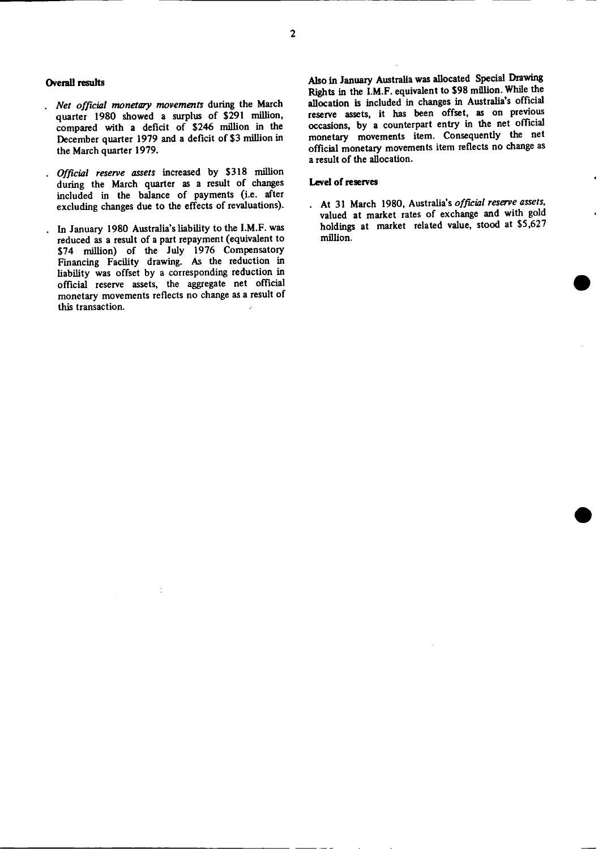#### **Overall results**

- *Net official monetary movements* during the March quarter 1980 showed a surplus of \$291 million, compared with a deficit of \$246 million in the December quarter 1979 and a deficit of \$3 million in the March quarter 1979.
- *Official reserve assets* increased by \$318 million during the March quarter as a result of changes included in the balance of payments (i.e. after excluding changes due to the effects of revaluations).
- In January 1980 Australia's liability to the I.M.F. was reduced as a result of a part repayment (equivalent to \$74 million) of the July 1976 Compensatory Financing Facility drawing. As the reduction in liability was offset by a corresponding reduction in official reserve assets, the aggregate net official monetary movements reflects no change as a result of this transaction.

Also in January Australia was allocated Special Drawing Rights in the I.M.F. equivalent to \$98 million. While the allocation is included in changes in Australia's official reserve assets, it has been offset, as on previous occasions, by a counterpart entry in the net official monetary movements item. Consequently the net official monetary movements item reflects no change as a result of the allocation.

#### **Level of reserves**

At 31 March 1980, Australia's *official reserve assets,* valued at market rates of exchange and with gold holdings at market related value, stood at \$5,627 million.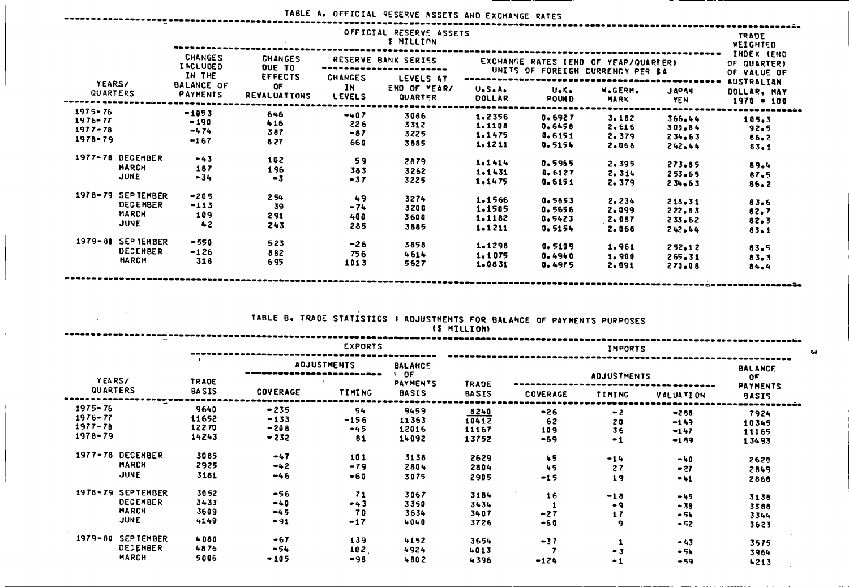## TABLE A. OFFICIAL RESERVE ASSETS AND EXCHANGE RATES

 $\frac{1}{2}$ 

 $\mathbf{r}$ 

|                           |                   | OFFICIAL RESERVE ASSETS<br><b>S MILLION</b>    |                                             |                                         |                                      |                                      |                           |                                                                    |                            |                                                                 |  |  |  |  |
|---------------------------|-------------------|------------------------------------------------|---------------------------------------------|-----------------------------------------|--------------------------------------|--------------------------------------|---------------------------|--------------------------------------------------------------------|----------------------------|-----------------------------------------------------------------|--|--|--|--|
|                           |                   | <b>CHANGES</b><br><b>INCLUDED</b>              | <b>CHANGES</b><br><b>OUE TO</b>             |                                         | RESERVE BANK SERIES                  | EXCHANGE RATES (END OF YEAP/QUARTER) | INDEX (END<br>OF QUARTER) |                                                                    |                            |                                                                 |  |  |  |  |
| <b>YEARS/</b><br>QUARTERS |                   | IN THE<br><b>BALANCE OF</b><br><b>PAYMENTS</b> | <b>EFFECTS</b><br>0F<br><b>REVALUATIONS</b> | <b>CHANGES</b><br>IN D<br><b>LEVELS</b> | LEVELS AT<br>END OF VEAR/<br>QUARTER | U.S.A.<br>DOLLAR                     | U.K.<br><b>POUND</b>      | UNITS OF FOREIGN CURRENCY PER \$A<br><b>W.GERM.</b><br><b>MARK</b> | <b>JAPAN</b><br><b>YEN</b> | OF VALUE OF<br><b>AUSTRALIAN</b><br>DOLLAR, MAY<br>$1970 = 100$ |  |  |  |  |
| $1975 - 76$               |                   | $-1053$                                        | 646                                         | $-407$                                  | 3086                                 | 1.2356                               |                           |                                                                    |                            |                                                                 |  |  |  |  |
| $1976 - 77$               |                   | $-190$                                         | 416                                         | 226                                     | 3312                                 | 1.1108                               | 0.6927                    | 3.182                                                              | 366.44                     | 105.3                                                           |  |  |  |  |
| $1977 - 78$               |                   | $-474$                                         | 387                                         | $-87$                                   | 3225                                 | 1.1475                               | 0.6458                    | 2.616                                                              | $300 - 84$                 | 92.5                                                            |  |  |  |  |
| $1978 - 79$               |                   | $-167$                                         | 8 2 7                                       | 660                                     | 3885                                 | 1,1211                               | 0.6151                    | 2,379                                                              | 234.63                     | 86.2                                                            |  |  |  |  |
|                           |                   |                                                |                                             |                                         |                                      |                                      | 0.5154                    | 2.068                                                              | 242.44                     | $83 - 1$                                                        |  |  |  |  |
|                           | 1977-78 DECEMBER  | $-43$                                          | 102                                         | 59                                      | 2879                                 | 1.1414                               | 0.5965                    |                                                                    |                            |                                                                 |  |  |  |  |
|                           | <b>HARCH</b>      | 187                                            | 196                                         | 383                                     | 3262                                 | 1.1431                               | 0.6127                    | 2.395                                                              | $273 - 55$                 | 89.4                                                            |  |  |  |  |
|                           | <b>JUNE</b>       | $-34$                                          | $-3$                                        | $-37$                                   | 3225                                 | 1.1475                               | 0.6151                    | 2.314<br>2.379                                                     | 253.65<br>234.63           | 87.5<br>$86 - 2$                                                |  |  |  |  |
|                           | 1978-79 SEPTEMBER | $-205$                                         | 254                                         | 49                                      | 3274                                 | 1.1566                               |                           |                                                                    |                            |                                                                 |  |  |  |  |
|                           | <b>DECEMBER</b>   | $-113$                                         | 39                                          | $-74$                                   | 3200                                 | 1.1505                               | 0.5853                    | 2.234                                                              | 218.31                     | 83.6                                                            |  |  |  |  |
|                           | <b>MARCH</b>      | 109                                            | 291                                         | 400                                     | 3600                                 | 1.1182                               | 0.5656                    | 2.099                                                              | 222.83                     | 82.7                                                            |  |  |  |  |
|                           | <b>JUNE</b>       | 42                                             | 243                                         | 285                                     | 3885                                 | $1 - 1211$                           | 0.5423<br>0.5154          | 2.087<br>2.068                                                     | 233.62                     | 82.3                                                            |  |  |  |  |
|                           |                   |                                                |                                             |                                         |                                      |                                      |                           |                                                                    | 242.44                     | 83.1                                                            |  |  |  |  |
|                           | 1979-80 SEPTEMBER | $-550$                                         | 523                                         | $-26$                                   | 3858                                 | 1.1298                               | 0.5109                    | 1.961                                                              | 252.12                     | 83.5                                                            |  |  |  |  |
|                           | <b>DECEMBER</b>   | $-126$                                         | 882                                         | 756                                     | 4614                                 | 1.1075                               | 0.4940                    | 1.900                                                              | $265 - 31$                 |                                                                 |  |  |  |  |
|                           | <b>MARCH</b>      | 318                                            | 695                                         | 1013                                    | 5627                                 | 1.0831                               | 0.4975                    | 2,091                                                              | 270.08                     | 83.3<br>84.4                                                    |  |  |  |  |

# TABLE B. TRADE STATISTICS **I** ADJUSTMENTS FOR BALANCE OF PAYMENTS PURPOSES

|                                                                     |                                 |                                      |                             |                                                | (\$ MILLION)                    |                             |                          |                                       |                                 |  |
|---------------------------------------------------------------------|---------------------------------|--------------------------------------|-----------------------------|------------------------------------------------|---------------------------------|-----------------------------|--------------------------|---------------------------------------|---------------------------------|--|
|                                                                     |                                 |                                      | <b>EXPORTS</b>              |                                                |                                 | <b>IMPORTS</b>              |                          |                                       |                                 |  |
| YEARS/                                                              | <b>TRADE</b>                    | <b>ADJUSTMENTS</b>                   |                             | <b>BALANCE</b><br><b>DF</b><br><b>PAYMENTS</b> | <b>TRADE</b>                    |                             | <b>BALANCE</b><br>0F     |                                       |                                 |  |
| QUARTERS                                                            | <b>BASIS</b>                    | <b>COVERAGE</b>                      | <b>TIMING</b>               | <b>BASIS</b>                                   | <b>BASIS</b>                    | COVERAGE                    | TIMING                   | <b>VALUATION</b>                      | <b>PAYMENTS</b><br><b>BASIS</b> |  |
| $1975 - 76$<br>$1976 - 77$<br>$1977 - 78$<br>$1978 - 79$            | 9640<br>11652<br>12270<br>14243 | $-235$<br>$-133$<br>$-208$<br>$-232$ | 54<br>$-156$<br>$-45$<br>81 | 9459<br>11363<br>12016<br>14092                | 8240<br>10412<br>11167<br>13752 | $-26$<br>62<br>109<br>$-69$ | $-2$<br>20<br>36<br>$-1$ | $-258$<br>$-149$<br>$-147$<br>$-1.99$ | 7924<br>10345<br>11165<br>13493 |  |
| 1977-78 DECEMBER<br><b>MARCH</b><br>JUNE                            | 3085<br>2925<br>3181            | $-47$<br>$-42$<br>$-46$              | 101<br>$-79$<br>$-60$       | 3138<br>2804<br>3075                           | 2629<br>2804<br>2905            | 45<br>45<br>$-15$           | $-14$<br>27<br>19        | $-40$<br>$-27$<br>$-41$               | 2620<br>2849<br>2868            |  |
| 1978-79 SEPTEMBER<br><b>DECEMBER</b><br><b>MARCH</b><br><b>JUNE</b> | 3052<br>3433<br>3609<br>4149    | $-56$<br>$-40$<br>$-45$<br>$-91$     | 71<br>$-43$<br>70<br>$-17$  | 3067<br>3350<br>3634<br>4040                   | 3184<br>3434<br>3407<br>3726    | 16<br>$-27$<br>$-60$        | $-18$<br>- 9<br>17<br>9  | $-45$<br>$-38$<br>$-54$<br>$-52$      | 3138<br>3388<br>3344<br>3623    |  |
| $1979 - 80$<br><b>SEPTENBER</b><br><b>DECEMBER</b><br><b>MARCH</b>  | 4080<br>4876<br>5006            | $-67$<br>$-54$<br>$-105$             | 139<br>102<br>$-98$         | 4152<br>4924<br>4802                           | 3654<br>4013<br>4396            | $-37$<br>$-124$             | $-3$<br>$-1$             | $-43$<br>$-5k$<br>-59                 | 3575<br>3964<br>4213            |  |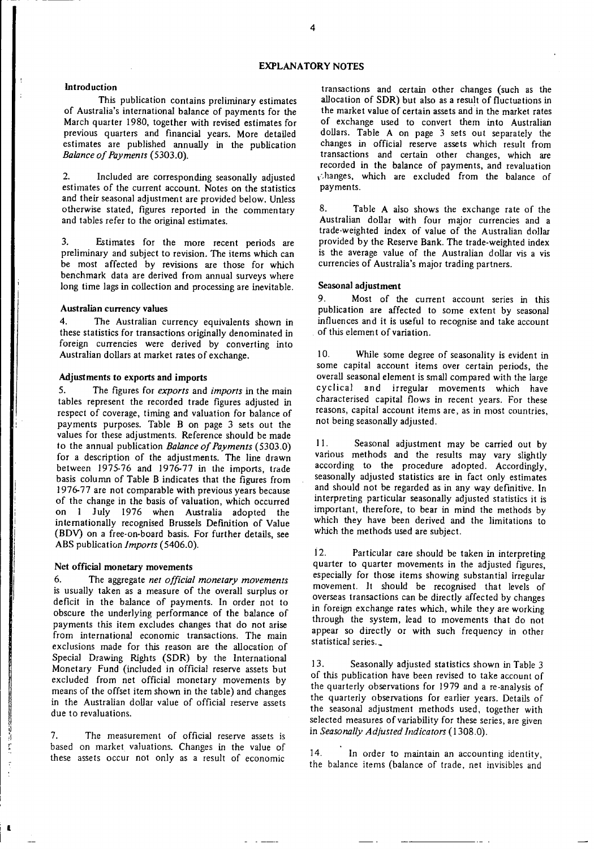#### **EXPLANATORY NOTES**

#### **Introduction**

**This** publication contains preliminary **estimates** of Australia's international balance of payments for the March quarter 1980, together with revised estimates for previous quarters and financial years. More detailed estimates are published annually in the publication *Balance of Payments* (5303.0).

2. Included are corresponding seasonally adjusted estimates of the current account. Notes on the statistics and their seasonal adjustment are provided below. Unless otherwise stated, figures reported in the commentary and tables refer to the original estimates.

3. Estimates for the more recent periods are preliminary and subject to revision. The items which can be most affected by revisions are those for which benchmark data are derived from annual surveys where long time lags in collection and processing are inevitable.

#### **Australian currency values**

4. The Australian currency equivalents shown in these statistics for transactions originally denominated in foreign currencies were derived by converting into Australian dollars at market rates of exchange.

#### **Adjustments to exports and imports**

5. The figures for *exports* and *imports* in the main tables represent the recorded trade figures adjusted in respect of coverage, timing and valuation for balance of payments purposes. Table B on page 3 sets out the values for these adjustments. Reference should be made to the annual publication *Balance of Payments* (5303.0) for a description of the adjustments. The line drawn between 1975-76 and 1976-77 in the imports, trade basis column of Table B indicates that the figures from 1976-77 are not comparable with previous years because of the change in the basis of valuation, which occurred on 1 July 1976 when Australia adopted the internationally recognised Brussels Definition of Value (BDV) on a free-on-board basis. For further details, see ABS publication *Imports* (5406.0).

#### **Net official monetary movements**

6. The aggregate *net official monetary movements* is usually taken as a measure of the overall surplus or deficit in the balance of payments. In order not to obscure the underlying performance of the balance of payments this item excludes changes that do not arise from international economic transactions. The main exclusions made for this reason are the allocation of Special Drawing Rights (SDR) by the International Monetary Fund (included in official reserve assets but excluded from net official monetary movements by means of the offset item shown in the table) and changes in the Australian dollar value of official reserve assets due to revaluations.

7. The measurement of official reserve assets is based on market valuations. Changes in the value of these assets occur not only as a result of economic

transactions and certain other changes (such as the allocation of SDR) but also as a result of fluctuations in the market value of certain assets and in the market rates of exchange used to convert them into Australian dollars. Table A on page 3 sets out separately the changes in official reserve assets which result from transactions and certain other changes, which are recorded in the balance of payments, and revaluation *,* ;hanges, which are excluded from the balance of payments.

8. Table A also shows the exchange rate of the Australian dollar with four major currencies and a trade-weighted index of value of the Australian dollar provided by the Reserve Bank. The trade-weighted index is the average value of the Australian dollar vis a vis currencies of Australia's major trading partners.

#### **Seasonal adjustment**

9. Most of the current account series in this publication are affected to some extent by seasonal influences and it is useful to recognise and take account of this element of variation.

10. While some degree of seasonality is evident in some capital account items over certain periods, the overall seasonal element is small compared with the large cyclical and irregular movements which have characterised capital flows in recent years. For these reasons, capital account items are, as in most countries, not being seasonally adjusted.

11. Seasonal adjustment may be carried out by various methods and the results may vary slightly according to the procedure adopted. Accordingly, seasonally adjusted statistics are in fact only estimates and should not be regarded as in any way definitive. In interpreting particular seasonally adjusted statistics it is important, therefore, to bear in mind the methods by which they have been derived and the limitations to which the methods used are subject.

12. Particular care should be taken in interpreting quarter to quarter movements in the adjusted figures, especially for those items showing substantial irregular movement. It should be recognised that levels of overseas transactions can be directly affected by changes in foreign exchange rates which, while they are working through the system, lead to movements that do not appear so directly or with such frequency in other statistical series.

13. Seasonally adjusted statistics shown in Table 3 of this publication have been revised to take account of the quarterly observations for 1979 and a re-analysis of the quarterly observations for earlier years. Details of the seasonal adjustment methods used, together with selected measures of variability for these series, are given in *Seasonally Adjusted Indicators* (1308.0).

14. In order to maintain an accounting identity, the balance items (balance of trade, net invisibles and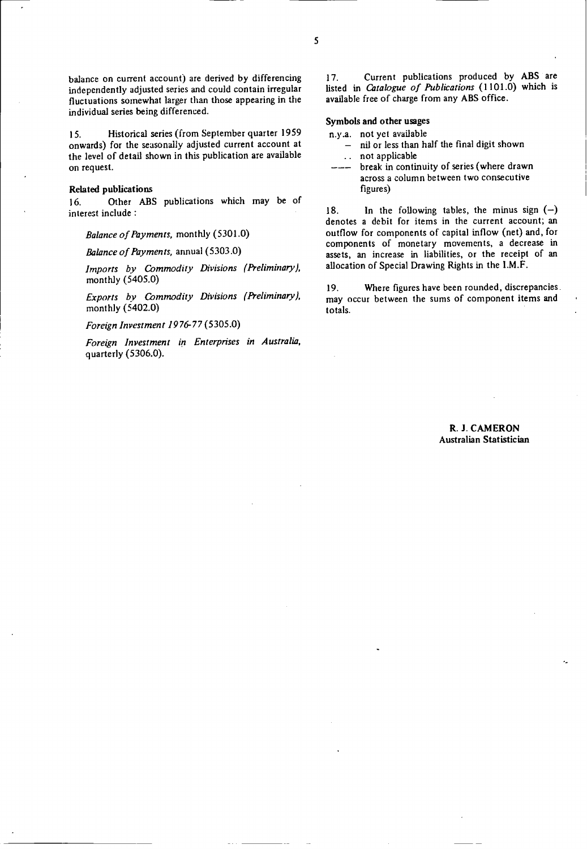balance on current account) are derived by differencing independently adjusted series and could contain irregular fluctuations somewhat larger than those appearing in the individual series being differenced.

15. Historical series (from September quarter 1959 onwards) for the seasonally adjusted current account at the level of detail shown in this publication are available on request.

#### **Related publications**

16. Other ABS publications which may be of interest include :

*Balance of Payments,* monthly (5301.0)

*Balance of Payments,* annual (5303.0)

*Imports by Commodity Divisions (Preliminary),* monthly (5405.0)

*Exports by Commodity Divisions (Preliminary),* monthly (5402.0)

*Foreign Investment 1976-77* (5305.0)

*Foreign Investment in Enterprises in Australia,* quarterly (5306.0).

17. Current publications produced by ABS are listed in *Catalogue of Publications* (1101.0) which is available free of charge from any ABS office.

#### **Symbols and other usages**

n.y.a. not yet available

- nil or less than half the final digit shown not applicable  $\mathcal{L}(\mathbf{r})$
- break in continuity of series (where drawn across a column between two consecutive figures)

18. In the following tables, the minus sign  $(-)$ denotes a debit for items in the current account; an outflow for components of capital inflow (net) and, for components of monetary movements, a decrease in assets, an increase in liabilities, or the receipt of an allocation of Special Drawing Rights in the I.M.F.

19. Where figures have been rounded, discrepancies. may occur between the sums of component items and totals.

> R. **J. CAMERON Australian Statistician**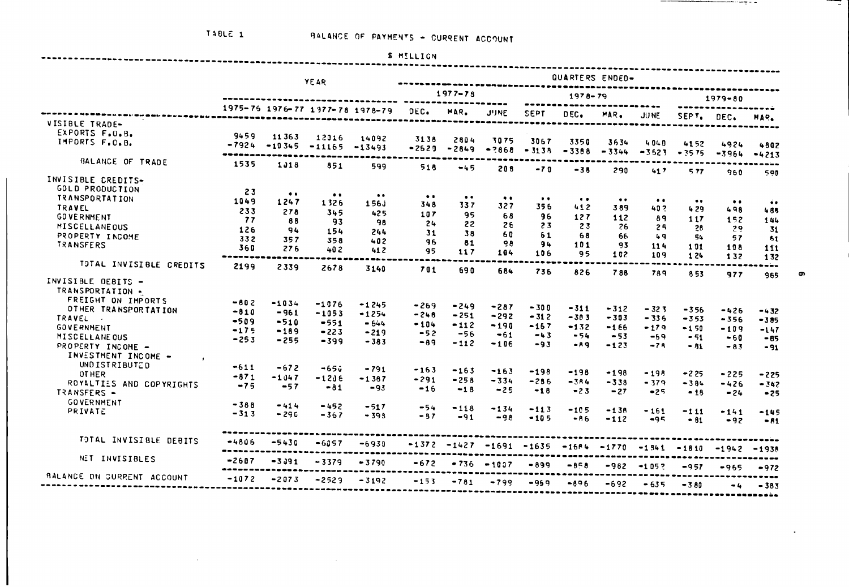$\mathcal{L}^{\mathcal{L}}$  , where  $\mathcal{L}^{\mathcal{L}}$  and  $\mathcal{L}^{\mathcal{L}}$ 

------

 $\sim 1000$ 

|    | <b>S MILLIGN</b> |  |  |  |  |
|----|------------------|--|--|--|--|
| -- |                  |  |  |  |  |

-I

 $\bullet$ 

\_\_\_\_

|                                |         | QUARTERS ENDED-                               |                  |                                 |                  |                  |                  |                 |                     |                  |                 |                         |                         |                  |
|--------------------------------|---------|-----------------------------------------------|------------------|---------------------------------|------------------|------------------|------------------|-----------------|---------------------|------------------|-----------------|-------------------------|-------------------------|------------------|
|                                |         |                                               | <b>YEAR</b>      |                                 |                  | $1977 - 78$      |                  |                 | $1978 - 79$         |                  |                 |                         | $1979 - 80$             |                  |
|                                |         |                                               |                  | 1975-76 1976-77 1977-78 1978-79 | DEC.             | MAR.             | <b>JUNE</b>      | <b>SEPT</b>     | DEC.                | MAR.             | <b>JUNE</b>     |                         |                         |                  |
| VISIBLE TRADE-                 |         |                                               |                  |                                 |                  |                  |                  |                 |                     |                  |                 | SEPT.                   | DEC.                    | MAR.             |
| EXPORTS F.O.B.                 | 9459    | 11363                                         | 12016            | 14092                           |                  |                  |                  |                 |                     |                  |                 |                         |                         |                  |
| IMPORTS F.O.B.                 | $-7924$ | $-10345$                                      | $-11165$         | $-13493$                        | 3138<br>$-2629$  | 2804<br>$-2849$  | 3075<br>$-2868$  | 3067<br>$-3138$ | 3350<br>$-3388$     | 3634<br>$-3344$  | 4040<br>$-3623$ | 4152                    | 4924                    | 4802             |
| BALANCE OF TRADE               | 1535    | 1018                                          | 851              | 599                             | 518              | -45              | 208              |                 |                     |                  |                 | $-3575$                 | $-3964$                 | $-4213$          |
| INVISIBLE CREDITS-             |         |                                               |                  |                                 |                  |                  |                  | $-70$           | $-38$               | 290              | 417             | 577                     | 960                     | 590              |
| <b>GOLD PRODUCTION</b>         |         |                                               |                  |                                 |                  |                  |                  |                 |                     |                  |                 |                         |                         |                  |
| <b>TRANSPORTATION</b>          | 23      | $\bullet\hspace{0.1cm} \bullet\hspace{0.1cm}$ | $\bullet\bullet$ | $\bullet$ $\bullet$             | $\bullet\bullet$ | $\bullet\bullet$ | $\bullet\bullet$ | $\bullet$       | $\bullet$ $\bullet$ | $\bullet\bullet$ | $\bullet$       |                         |                         |                  |
| <b>TRAVEL</b>                  | 1049    | 1247                                          | 1326             | 156j                            | 348              | 337              | 327              | 356             | 412                 | 389              | 402             | $\bullet\bullet$<br>429 | $\bullet\bullet$<br>498 | $\bullet\bullet$ |
| <b>GOVERNMENT</b>              | 233     | 278                                           | 345              | 425                             | 107              | 95               | 68               | 96              | 127                 | 112              | 89              | 117                     |                         | 485              |
| MISCELLANEOUS                  | 77      | 88                                            | 93               | 98                              | 24               | 22               | 26               | 23              | 23                  | 26               | 25              | 28                      | 152<br>29               | 144              |
| PROPERTY INCOME                | 126     | 94                                            | 154              | 244                             | 31               | 38               | 60               | 61              | 68                  | 66               | 49              | 54                      | 57                      | 31               |
| <b>TRANSFERS</b>               | 332     | 357                                           | 358              | 402                             | 96               | 81               | <b>QB</b>        | 94              | 101                 | 93               | 114             | 101                     | 108                     | 51               |
|                                | 360     | 276                                           | 402              | 412                             | 95               | 117              | 104              | 106             | 95                  | 102              | 109             | 124                     | 132                     | 111<br>132       |
| TOTAL INVISIBLE CREDITS        | 2199    | 2339                                          | 2678             | 3140                            | 701              | 690              | 684              | 736             | 826                 | 788              | 789             | 353                     |                         | ---              |
| INVISIBLE DEBITS -             |         |                                               |                  |                                 |                  |                  |                  |                 |                     |                  |                 |                         | 977                     | 965              |
| TRANSPORTATION -               |         |                                               |                  |                                 |                  |                  |                  |                 |                     |                  |                 |                         |                         |                  |
| FREIGHT ON IMPORTS             | $-602$  |                                               |                  |                                 |                  |                  |                  |                 |                     |                  |                 |                         |                         |                  |
| OTHER TRANSPORTATION           | $-810$  | $-1034$                                       | $-1076$          | $-1245$                         | $-269$           | $-249$           | $-287$           | -300            | -311                | $-312$           | $-323$          | $-356$                  | $-426$                  | $-432$           |
| TRAVEL .                       | $-509$  | $-961$                                        | $-1053$          | $-1254$                         | $-248$           | $-251$           | $-292$           | $-312$          | -303                | $-303$           | $-336$          | $-353$                  | $-356$                  | $-385$           |
| <b>GOVERNMENT</b>              | $-175$  | $-510$<br>$-189$                              | $-551$           | $-644$                          | $-104$           | $-112$           | $-190$           | $-157$          | $-132$              | $-166$           | $-179$          | $-150$                  | $-109$                  | $-147$           |
| MISCELLANE OUS                 | $-253$  | $-255$                                        | $-223$           | $-219$                          | $-52$            | $-56$            | $-61$            | $-43$           | $-54$               | $-53$            | $-59$           | $-51$                   | $-60$                   | $-85$            |
| PROPERTY INCOME -              |         |                                               | $-399$           | $-383$                          | $-89$            | $-112$           | $-106$           | $-93$           | $-99$               | $-123$           | $-75$           | - 81                    | $-83$                   | $-91$            |
| INVESTMENT INCOME -<br>$\cdot$ |         |                                               |                  |                                 |                  |                  |                  |                 |                     |                  |                 |                         |                         |                  |
| <b>UNDISTRIBUTED</b>           | $-611$  | $-672$                                        | -65û             | $-791$                          |                  |                  |                  |                 |                     |                  |                 |                         |                         |                  |
| OT HER                         | $-871$  | $-1047$                                       | $-1206$          |                                 | $-163$           | $-163$           | $-163$           | $-198$          | -198                | $-198$           | $-195$          | $-225$                  | $-225$                  | $-225$           |
| ROYALTIES AND COPYRIGHTS       | $-75$   | $-57$                                         | $-81$            | $-1387$                         | -291             | $-258$           | $-334$           | $-286$          | $-384$              | $-333$           | $-379$          | $-384$                  | $-426$                  | $-342$           |
| TRANSFERS -                    |         |                                               |                  | $-93$                           | $-16$            | $-18$            | $-25$            | $-18$           | $-23$               | $-27$            | $-25$           | $-18$                   | $-24$                   | $-25$            |
| <b>GOVERNMENT</b>              | $-388$  | $-414$                                        | -452             | $-517$                          |                  |                  |                  |                 |                     |                  |                 |                         |                         |                  |
| PRIVATE                        | $-313$  | $-296$                                        | -367             | $-393$                          | $-54$<br>$-37$   | $-118$           | $-134$           | $-113$          | -105                | $-138$           | $-161$          | -111                    | $-141$                  | $-145$           |
|                                |         |                                               |                  |                                 |                  | $-91$            | $-98$            | $-105$          | $-86$               | $-112$           | $-95$           | $-81$                   | $-92$                   | $-81$            |
| TOTAL INVISIBLE DEBITS         | $-4806$ | $-5430$                                       | $-6057$          | -6930                           | $-1372$          |                  | $-1427 - 1691$   |                 |                     |                  |                 |                         |                         |                  |
|                                |         |                                               |                  |                                 |                  |                  |                  | $-1635$         | $-1604$             | $-1770$          | $-1341$         | $-1810$                 | $-1942$                 | $-1938$          |
| NET INVISIBLES                 | $-2607$ | $-3.391$                                      | $-3379$          | $-3790$                         | $-672$           |                  | $-736 - 1007$    | -899            | -858                | -982             | $-1052$         | $-957$                  | $-965$                  | $-972$           |
| BALANCE ON CURRENT ACCOUNT     | $-1072$ | $-2073$                                       | $-2529$          | $-3192$                         | $-153$           | $-781$           | $-799$           | $-959$          | -896                | $-692$           | $-635$          | $-380$                  | $-4$                    | $-383$           |
|                                |         |                                               |                  |                                 |                  |                  |                  |                 |                     |                  |                 |                         |                         |                  |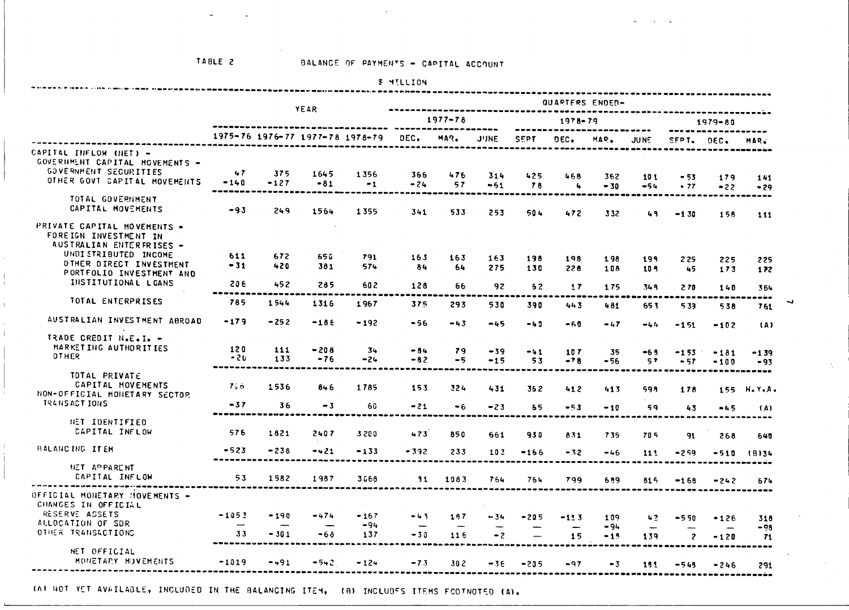$\sim 100$ 

|                                                         |              |            |               |                                 | <b>&amp; MILLION</b>       |           |             |                          |        |                 |                                |                |         |               |
|---------------------------------------------------------|--------------|------------|---------------|---------------------------------|----------------------------|-----------|-------------|--------------------------|--------|-----------------|--------------------------------|----------------|---------|---------------|
|                                                         |              |            | <b>YEAR</b>   |                                 |                            |           |             |                          |        | QUARTERS ENDER- |                                |                |         |               |
|                                                         |              |            |               |                                 | $1977 - 78$<br>$1978 - 79$ |           |             | $1979 - 80$              |        |                 |                                |                |         |               |
|                                                         |              |            |               | 1975-76 1976-77 1977-78 1978-79 | DEC.                       | MAR.      | <b>JUNE</b> | <b>SEPT</b>              | DEC.   | MAR.            | JU NE                          | SEPT.          | $OEC$ . | MAR.          |
| CAPITAL INFLOW (NET) -                                  |              |            |               |                                 |                            |           |             |                          |        |                 |                                |                |         |               |
| GOVERNMENT CAPITAL MOVEMENTS -<br>GOVERNMENT SECURITIES | 47           | 375        |               |                                 |                            |           |             |                          |        |                 |                                |                |         |               |
| OTHER GOVT CAPITAL MOVEMENTS                            | $-140$       | $-127$     | 1645<br>$-81$ | 1356<br>$-1$                    | 366<br>$-24$               | 476<br>57 | 314         | 425                      | 468    | 362             | 101                            | $-53$          | 179     | 141           |
|                                                         |              |            |               |                                 |                            |           | $-51$       | 78                       | 4      | $-30$           | $-54$                          | .77            | $-22$   | $-29$         |
| TOTAL GOVERNMENT                                        |              |            |               |                                 |                            |           |             |                          |        |                 |                                |                |         |               |
| CAPITAL MOVEMENTS                                       | $-93$        | 249        | 1564          | 1355                            | 341                        | 533       | 253         | 504                      | 472    | 332             | 49                             | $-1.30$        | 156     | 111           |
| PRIVATE CAPITAL MOVEMENTS .                             |              |            |               |                                 |                            |           |             |                          |        |                 |                                |                |         |               |
| FOREIGN INVESTMENT IN                                   |              |            |               |                                 |                            |           |             |                          |        |                 |                                |                |         |               |
| AUSTRALIAN ENTERFRISES -                                |              |            |               |                                 |                            |           |             |                          |        |                 |                                |                |         |               |
| UNDI STRIBUTED INCOME<br>OTHER DIRECT INVESTMENT        | 611<br>$-31$ | 672<br>420 | 650           | 791                             | 163                        | 163       | 163         | 198                      | 198    | 198             | 199                            | 225            | 225     | 225           |
| PORTFOLIO INVESTMENT AND                                |              |            | 381           | 574                             | 84                         | 64        | 275         | 130                      | 228    | 108             | 105                            | 45             | 173     | 172           |
| INSTITUTIONAL LCANS                                     | 20 E         | 452        | 285           | 602                             | 128                        | 66        | 92          | 62                       | 17     | 175             | 345                            | 270            | 140     | 364           |
|                                                         |              |            |               |                                 |                            |           |             |                          |        |                 |                                |                |         |               |
| TOTAL ENTERPRISES                                       | 785          | 1544       | 1316          | 1967                            | 375                        | 293       | 530         | 390                      | 443    | 481             | 65.3                           | 539            | 538     | 761           |
| AUSTRALIAN INVESTMENT ABROAD                            | $-179$       | $-252$     | $-186$        |                                 |                            |           |             |                          |        |                 |                                |                |         |               |
|                                                         |              |            |               | $-192$                          | -56                        | $-43$     | $-45$       | $-49$                    | $-60$  | $-47$           | $-44$                          | $-151$         | $-102$  | (A)           |
| TRADE CREDIT N.E.I. -                                   |              |            |               |                                 |                            |           |             |                          |        |                 |                                |                |         |               |
| MARKETING AUTHORITIES<br><b>DTHER</b>                   | 120          | 111        | $-208$        | 34                              | $-84$                      | 79        | $-39$       | $-41$                    | 107    | 35              | $-6.8$                         | $-153$         | $-181$  | -139          |
|                                                         | $-20$        | 133        | $-76$         | $-24$                           | $-82$                      | $-5$      | $-15$       | 53                       | $-78$  | $-56$           | 57                             | $-57$          | $-100$  | $-93$         |
| TOTAL PRIVATE                                           |              |            |               |                                 |                            |           |             |                          |        |                 |                                |                |         | ----          |
| CAPITAL MOVEMENTS                                       | 7.6          | 1536       | 846           | 1785                            | 153                        | 324       | 431         | 362                      | 412    | 413             | 598                            | 178            | 155     | <b>N.Y.A.</b> |
| NON-OFFICIAL MONETARY SECTOR                            |              |            |               |                                 |                            |           |             |                          |        |                 |                                |                |         |               |
| TRANSACT IONS                                           | $-37$        | 36         | $-3$          | 66                              | $-21$                      | $-6$      | $-23$       | 65                       | $-53$  | $-10$           | 59                             | 43             | $-45$   | (A)           |
| HET IDENTIFIED                                          |              |            |               |                                 |                            |           |             |                          |        |                 |                                |                |         |               |
| CAPITAL INFLOW                                          | 576          | 1621       | 2407          | 3200                            | 473                        | 850       | 661         | 930                      | 831    | 735             | 705                            | 91             | 268     |               |
|                                                         |              |            |               |                                 |                            |           |             |                          |        |                 |                                |                |         | 640           |
| <b>BALANCING ITEM</b>                                   | -523         | $-238$     | $-421$        | $-133$                          | $-392$                     | 233       | 103         | $-166$                   | $-32$  | -46             | 111                            | $-259$         |         | $-510$ (8)34  |
| NET APPARENT                                            |              |            |               |                                 |                            |           |             |                          |        |                 |                                |                |         |               |
| CAPITAL INFLOW                                          | 53           | 1582       | 1987          | 3668                            | 31                         | 1983      | 764         | 764                      | 799    | 659             | 815                            | $-168$         | $-242$  | 674           |
|                                                         |              |            |               |                                 |                            |           |             |                          |        |                 |                                |                |         |               |
| OFFICIAL MONETARY HOVEMENTS -<br>CHANGES IN OFFICIAL    |              |            |               |                                 |                            |           |             |                          |        |                 |                                |                |         |               |
| RESERVE ASSETS                                          | $-1053$      | $-190$     | $-474$        | $-167$                          | -43                        |           |             |                          |        |                 |                                |                |         |               |
| ALLOCATION OF SDR                                       |              |            |               | $-94$                           |                            | 197       | $-34$       | $-205$                   | $-113$ | 109<br>-94      | 42<br>$\overline{\phantom{0}}$ | $-550$         | $-126$  | 318<br>-98    |
| OTHER TRANSACTIONS                                      | 33           | $-301$     | $-68$         | 137                             | $-30$                      | 116       | $-2$        | $\overline{\phantom{a}}$ | 15     | $-13$           | 139                            | $\overline{z}$ | $-120$  | -71           |
|                                                         |              |            |               |                                 |                            |           |             |                          |        |                 |                                |                |         |               |
| NET OFFICIAL<br>MONETARY MOVEMENTS                      | $-1019$      | $-491$     |               |                                 |                            |           |             |                          |        |                 |                                |                |         |               |
|                                                         |              |            | $-542$        | $-124$                          | $-73$                      | 302       | $-36$       | $-235$                   | $-97$  | $-3$            | 181                            | $-543$         | $-246$  | 291           |
|                                                         |              |            |               |                                 |                            |           |             |                          |        |                 |                                |                |         |               |

(A) NOT YET AVAILABLE, INCLUDED IN THE BALANCING ITEM, (B) INCLUDES ITEMS FCOTNOTED (A).

 $\rightarrow$ 

 $\Delta \sim$